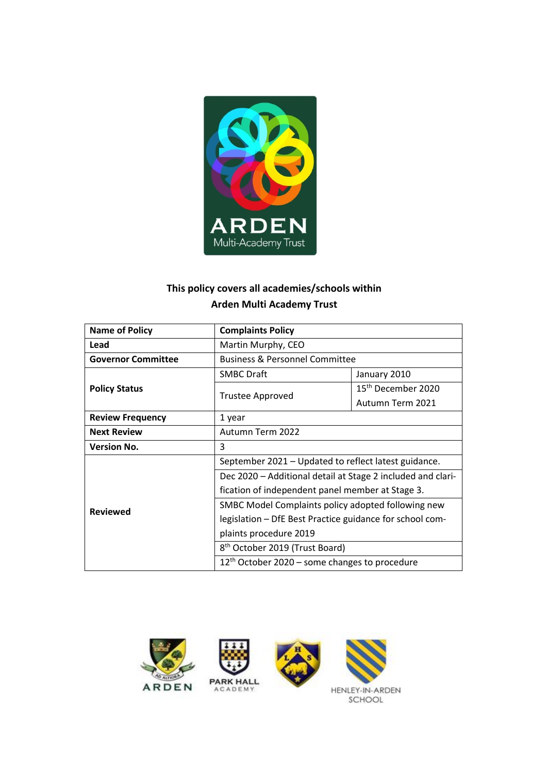

# **This policy covers all academies/schools within Arden Multi Academy Trust**

| <b>Name of Policy</b>     | <b>Complaints Policy</b>                                    |                                |
|---------------------------|-------------------------------------------------------------|--------------------------------|
| Lead                      | Martin Murphy, CEO                                          |                                |
| <b>Governor Committee</b> | <b>Business &amp; Personnel Committee</b>                   |                                |
|                           | <b>SMBC Draft</b>                                           | January 2010                   |
| <b>Policy Status</b>      |                                                             | 15 <sup>th</sup> December 2020 |
|                           | <b>Trustee Approved</b>                                     | Autumn Term 2021               |
| <b>Review Frequency</b>   | 1 year                                                      |                                |
| <b>Next Review</b>        | Autumn Term 2022                                            |                                |
| <b>Version No.</b>        | 3                                                           |                                |
|                           | September 2021 - Updated to reflect latest guidance.        |                                |
|                           | Dec 2020 – Additional detail at Stage 2 included and clari- |                                |
|                           | fication of independent panel member at Stage 3.            |                                |
| <b>Reviewed</b>           | SMBC Model Complaints policy adopted following new          |                                |
|                           | legislation - DfE Best Practice guidance for school com-    |                                |
|                           | plaints procedure 2019                                      |                                |
|                           | 8 <sup>th</sup> October 2019 (Trust Board)                  |                                |
|                           | $12th$ October 2020 – some changes to procedure             |                                |

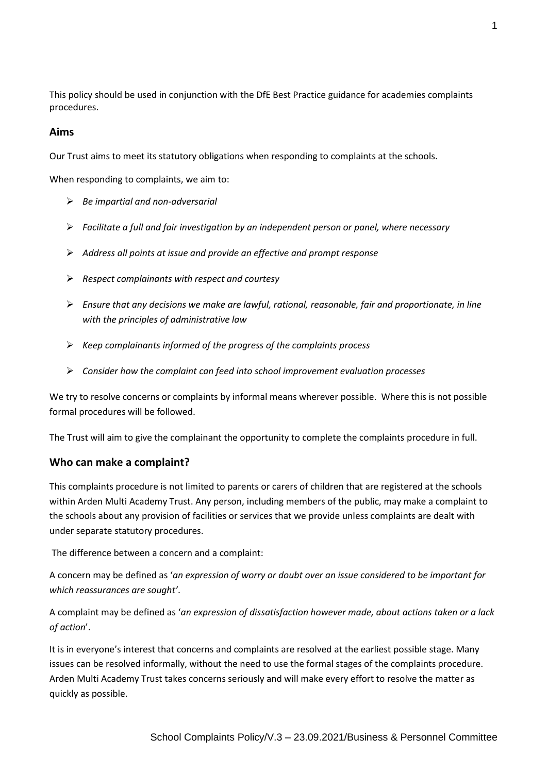This policy should be used in conjunction with the DfE Best Practice guidance for academies complaints procedures.

### **Aims**

Our Trust aims to meet its statutory obligations when responding to complaints at the schools.

When responding to complaints, we aim to:

- *Be impartial and non-adversarial*
- *Facilitate a full and fair investigation by an independent person or panel, where necessary*
- *Address all points at issue and provide an effective and prompt response*
- *Respect complainants with respect and courtesy*
- *Ensure that any decisions we make are lawful, rational, reasonable, fair and proportionate, in line with the principles of administrative law*
- *Keep complainants informed of the progress of the complaints process*
- *Consider how the complaint can feed into school improvement evaluation processes*

We try to resolve concerns or complaints by informal means wherever possible. Where this is not possible formal procedures will be followed.

The Trust will aim to give the complainant the opportunity to complete the complaints procedure in full.

#### **Who can make a complaint?**

This complaints procedure is not limited to parents or carers of children that are registered at the schools within Arden Multi Academy Trust. Any person, including members of the public, may make a complaint to the schools about any provision of facilities or services that we provide unless complaints are dealt with under separate statutory procedures.

The difference between a concern and a complaint:

A concern may be defined as '*an expression of worry or doubt over an issue considered to be important for which reassurances are sought'*.

A complaint may be defined as '*an expression of dissatisfaction however made, about actions taken or a lack of action*'.

It is in everyone's interest that concerns and complaints are resolved at the earliest possible stage. Many issues can be resolved informally, without the need to use the formal stages of the complaints procedure. Arden Multi Academy Trust takes concerns seriously and will make every effort to resolve the matter as quickly as possible.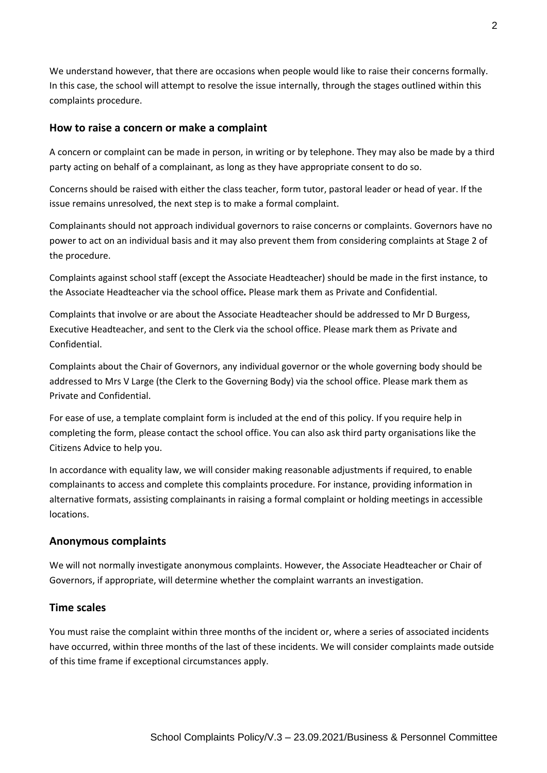We understand however, that there are occasions when people would like to raise their concerns formally. In this case, the school will attempt to resolve the issue internally, through the stages outlined within this complaints procedure.

### **How to raise a concern or make a complaint**

A concern or complaint can be made in person, in writing or by telephone. They may also be made by a third party acting on behalf of a complainant, as long as they have appropriate consent to do so.

Concerns should be raised with either the class teacher, form tutor, pastoral leader or head of year. If the issue remains unresolved, the next step is to make a formal complaint.

Complainants should not approach individual governors to raise concerns or complaints. Governors have no power to act on an individual basis and it may also prevent them from considering complaints at Stage 2 of the procedure.

Complaints against school staff (except the Associate Headteacher) should be made in the first instance, to the Associate Headteacher via the school office*.* Please mark them as Private and Confidential.

Complaints that involve or are about the Associate Headteacher should be addressed to Mr D Burgess, Executive Headteacher, and sent to the Clerk via the school office. Please mark them as Private and Confidential.

Complaints about the Chair of Governors, any individual governor or the whole governing body should be addressed to Mrs V Large (the Clerk to the Governing Body) via the school office. Please mark them as Private and Confidential.

For ease of use, a template complaint form is included at the end of this policy. If you require help in completing the form, please contact the school office. You can also ask third party organisations like the Citizens Advice to help you.

In accordance with equality law, we will consider making reasonable adjustments if required, to enable complainants to access and complete this complaints procedure. For instance, providing information in alternative formats, assisting complainants in raising a formal complaint or holding meetings in accessible locations.

#### **Anonymous complaints**

We will not normally investigate anonymous complaints. However, the Associate Headteacher or Chair of Governors, if appropriate, will determine whether the complaint warrants an investigation.

### **Time scales**

You must raise the complaint within three months of the incident or, where a series of associated incidents have occurred, within three months of the last of these incidents. We will consider complaints made outside of this time frame if exceptional circumstances apply.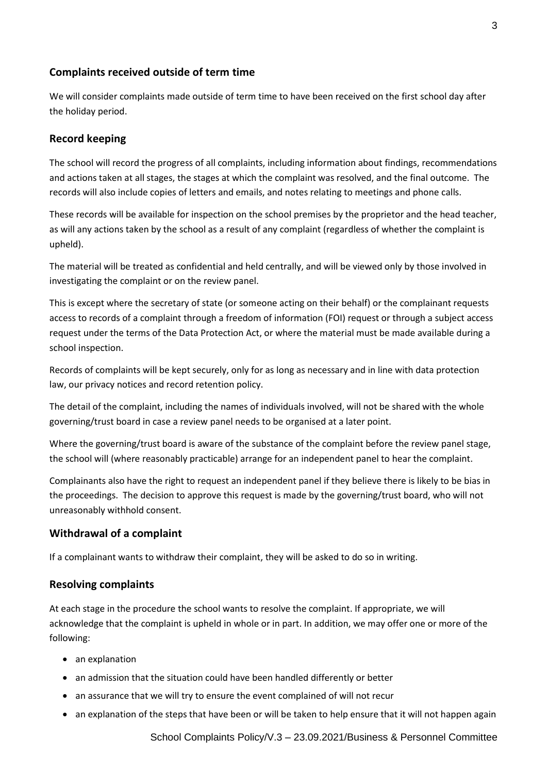# **Complaints received outside of term time**

We will consider complaints made outside of term time to have been received on the first school day after the holiday period.

# **Record keeping**

The school will record the progress of all complaints, including information about findings, recommendations and actions taken at all stages, the stages at which the complaint was resolved, and the final outcome. The records will also include copies of letters and emails, and notes relating to meetings and phone calls.

These records will be available for inspection on the school premises by the proprietor and the head teacher, as will any actions taken by the school as a result of any complaint (regardless of whether the complaint is upheld).

The material will be treated as confidential and held centrally, and will be viewed only by those involved in investigating the complaint or on the review panel.

This is except where the secretary of state (or someone acting on their behalf) or the complainant requests access to records of a complaint through a freedom of information (FOI) request or through a subject access request under the terms of the Data Protection Act, or where the material must be made available during a school inspection.

Records of complaints will be kept securely, only for as long as necessary and in line with data protection law, our privacy notices and record retention policy.

The detail of the complaint, including the names of individuals involved, will not be shared with the whole governing/trust board in case a review panel needs to be organised at a later point.

Where the governing/trust board is aware of the substance of the complaint before the review panel stage, the school will (where reasonably practicable) arrange for an independent panel to hear the complaint.

Complainants also have the right to request an independent panel if they believe there is likely to be bias in the proceedings. The decision to approve this request is made by the governing/trust board, who will not unreasonably withhold consent.

### **Withdrawal of a complaint**

If a complainant wants to withdraw their complaint, they will be asked to do so in writing.

### **Resolving complaints**

At each stage in the procedure the school wants to resolve the complaint. If appropriate, we will acknowledge that the complaint is upheld in whole or in part. In addition, we may offer one or more of the following:

- an explanation
- an admission that the situation could have been handled differently or better
- an assurance that we will try to ensure the event complained of will not recur
- an explanation of the steps that have been or will be taken to help ensure that it will not happen again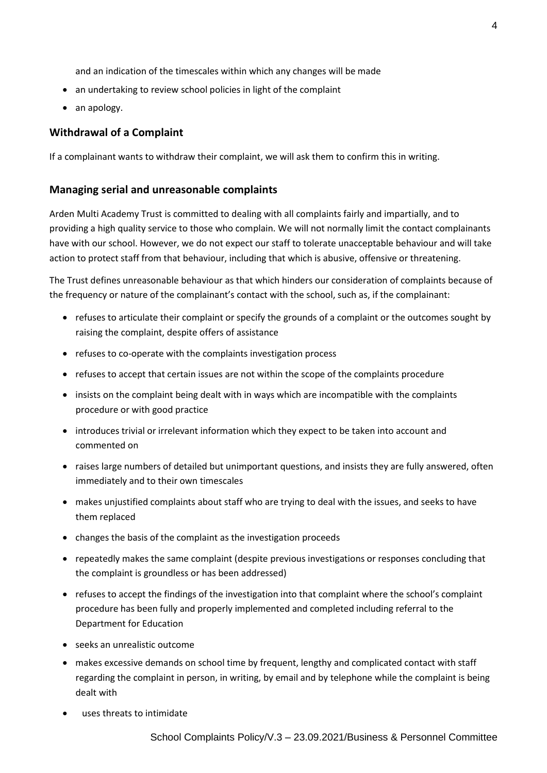and an indication of the timescales within which any changes will be made

- an undertaking to review school policies in light of the complaint
- an apology.

# **Withdrawal of a Complaint**

If a complainant wants to withdraw their complaint, we will ask them to confirm this in writing.

### **Managing serial and unreasonable complaints**

Arden Multi Academy Trust is committed to dealing with all complaints fairly and impartially, and to providing a high quality service to those who complain. We will not normally limit the contact complainants have with our school. However, we do not expect our staff to tolerate unacceptable behaviour and will take action to protect staff from that behaviour, including that which is abusive, offensive or threatening.

The Trust defines unreasonable behaviour as that which hinders our consideration of complaints because of the frequency or nature of the complainant's contact with the school, such as, if the complainant:

- refuses to articulate their complaint or specify the grounds of a complaint or the outcomes sought by raising the complaint, despite offers of assistance
- refuses to co-operate with the complaints investigation process
- refuses to accept that certain issues are not within the scope of the complaints procedure
- insists on the complaint being dealt with in ways which are incompatible with the complaints procedure or with good practice
- introduces trivial or irrelevant information which they expect to be taken into account and commented on
- raises large numbers of detailed but unimportant questions, and insists they are fully answered, often immediately and to their own timescales
- makes unjustified complaints about staff who are trying to deal with the issues, and seeks to have them replaced
- changes the basis of the complaint as the investigation proceeds
- repeatedly makes the same complaint (despite previous investigations or responses concluding that the complaint is groundless or has been addressed)
- refuses to accept the findings of the investigation into that complaint where the school's complaint procedure has been fully and properly implemented and completed including referral to the Department for Education
- seeks an unrealistic outcome
- makes excessive demands on school time by frequent, lengthy and complicated contact with staff regarding the complaint in person, in writing, by email and by telephone while the complaint is being dealt with
- uses threats to intimidate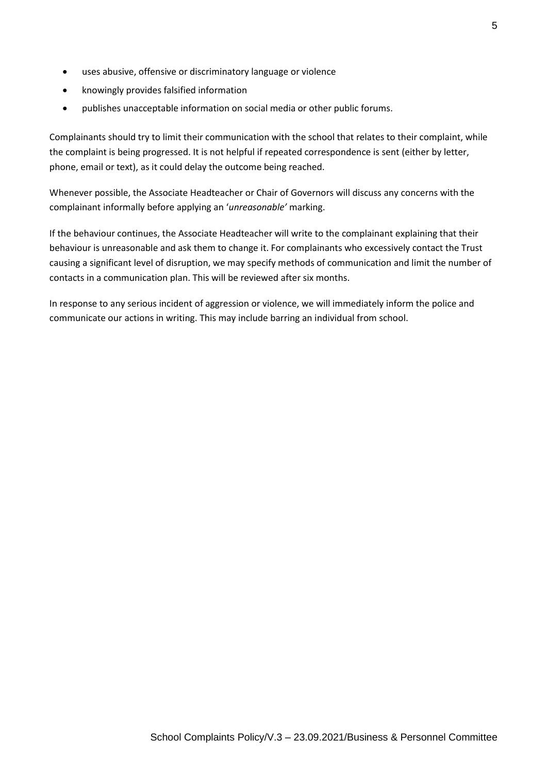- uses abusive, offensive or discriminatory language or violence
- knowingly provides falsified information
- publishes unacceptable information on social media or other public forums.

Complainants should try to limit their communication with the school that relates to their complaint, while the complaint is being progressed. It is not helpful if repeated correspondence is sent (either by letter, phone, email or text), as it could delay the outcome being reached.

Whenever possible, the Associate Headteacher or Chair of Governors will discuss any concerns with the complainant informally before applying an '*unreasonable'* marking.

If the behaviour continues, the Associate Headteacher will write to the complainant explaining that their behaviour is unreasonable and ask them to change it. For complainants who excessively contact the Trust causing a significant level of disruption, we may specify methods of communication and limit the number of contacts in a communication plan. This will be reviewed after six months.

In response to any serious incident of aggression or violence, we will immediately inform the police and communicate our actions in writing. This may include barring an individual from school.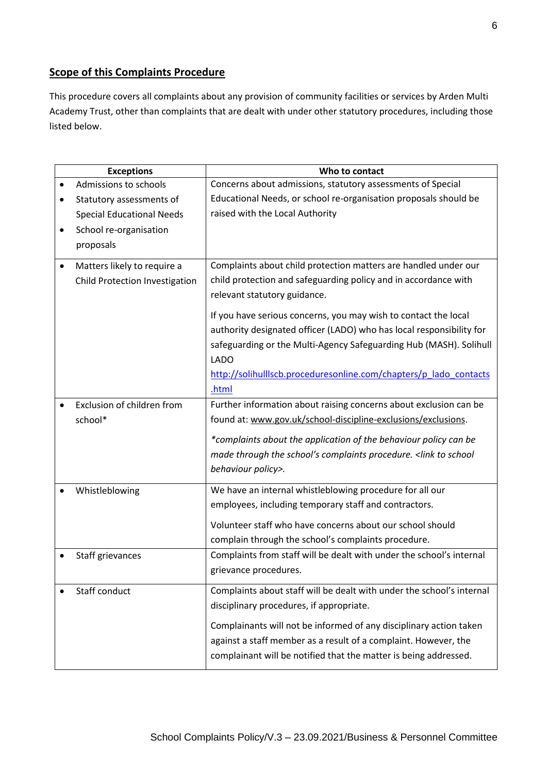# **Scope of this Complaints Procedure**

This procedure covers all complaints about any provision of community facilities or services by Arden Multi Academy Trust, other than complaints that are dealt with under other statutory procedures, including those listed below.

|           | <b>Exceptions</b>                | Who to contact                                                        |  |
|-----------|----------------------------------|-----------------------------------------------------------------------|--|
| $\bullet$ | Admissions to schools            | Concerns about admissions, statutory assessments of Special           |  |
| ٠         | Statutory assessments of         | Educational Needs, or school re-organisation proposals should be      |  |
|           | <b>Special Educational Needs</b> | raised with the Local Authority                                       |  |
| $\bullet$ | School re-organisation           |                                                                       |  |
|           | proposals                        |                                                                       |  |
| $\bullet$ | Matters likely to require a      | Complaints about child protection matters are handled under our       |  |
|           | Child Protection Investigation   | child protection and safeguarding policy and in accordance with       |  |
|           |                                  |                                                                       |  |
|           |                                  | relevant statutory guidance.                                          |  |
|           |                                  | If you have serious concerns, you may wish to contact the local       |  |
|           |                                  | authority designated officer (LADO) who has local responsibility for  |  |
|           |                                  | safeguarding or the Multi-Agency Safeguarding Hub (MASH). Solihull    |  |
|           |                                  | <b>LADO</b>                                                           |  |
|           |                                  | http://solihulllscb.proceduresonline.com/chapters/p lado contacts     |  |
|           |                                  | .html                                                                 |  |
| $\bullet$ | Exclusion of children from       | Further information about raising concerns about exclusion can be     |  |
|           | school*                          | found at: www.gov.uk/school-discipline-exclusions/exclusions.         |  |
|           |                                  | *complaints about the application of the behaviour policy can be      |  |
|           |                                  | made through the school's complaints procedure. < link to school      |  |
|           |                                  | behaviour policy>.                                                    |  |
|           |                                  |                                                                       |  |
|           | Whistleblowing                   | We have an internal whistleblowing procedure for all our              |  |
|           |                                  | employees, including temporary staff and contractors.                 |  |
|           |                                  | Volunteer staff who have concerns about our school should             |  |
|           |                                  | complain through the school's complaints procedure.                   |  |
|           | Staff grievances                 | Complaints from staff will be dealt with under the school's internal  |  |
|           |                                  | grievance procedures.                                                 |  |
|           | Staff conduct                    |                                                                       |  |
|           |                                  | Complaints about staff will be dealt with under the school's internal |  |
|           |                                  | disciplinary procedures, if appropriate.                              |  |
|           |                                  | Complainants will not be informed of any disciplinary action taken    |  |
|           |                                  | against a staff member as a result of a complaint. However, the       |  |
|           |                                  | complainant will be notified that the matter is being addressed.      |  |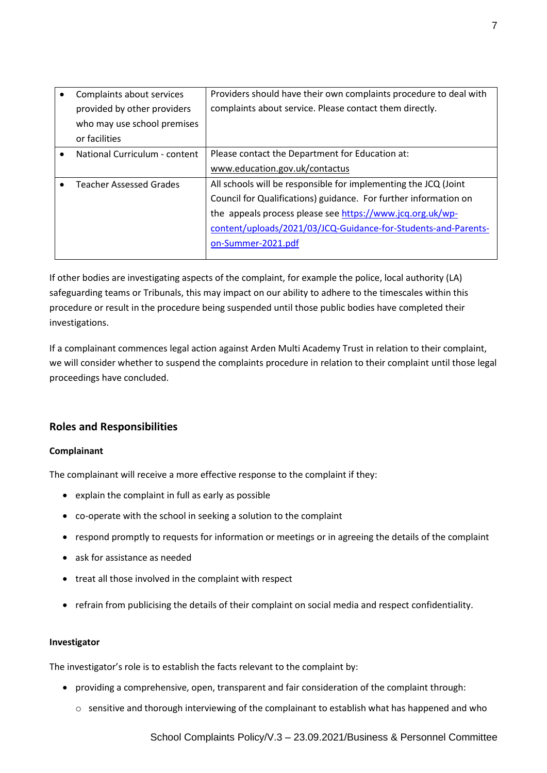| Complaints about services      | Providers should have their own complaints procedure to deal with |  |
|--------------------------------|-------------------------------------------------------------------|--|
| provided by other providers    | complaints about service. Please contact them directly.           |  |
| who may use school premises    |                                                                   |  |
| or facilities                  |                                                                   |  |
| National Curriculum - content  | Please contact the Department for Education at:                   |  |
|                                | www.education.gov.uk/contactus                                    |  |
| <b>Teacher Assessed Grades</b> | All schools will be responsible for implementing the JCQ (Joint   |  |
|                                | Council for Qualifications) guidance. For further information on  |  |
|                                | the appeals process please see https://www.jcq.org.uk/wp-         |  |
|                                | content/uploads/2021/03/JCQ-Guidance-for-Students-and-Parents-    |  |
|                                | on-Summer-2021.pdf                                                |  |
|                                |                                                                   |  |

If other bodies are investigating aspects of the complaint, for example the police, local authority (LA) safeguarding teams or Tribunals, this may impact on our ability to adhere to the timescales within this procedure or result in the procedure being suspended until those public bodies have completed their investigations.

If a complainant commences legal action against Arden Multi Academy Trust in relation to their complaint, we will consider whether to suspend the complaints procedure in relation to their complaint until those legal proceedings have concluded.

# **Roles and Responsibilities**

#### **Complainant**

The complainant will receive a more effective response to the complaint if they:

- explain the complaint in full as early as possible
- co-operate with the school in seeking a solution to the complaint
- respond promptly to requests for information or meetings or in agreeing the details of the complaint
- ask for assistance as needed
- treat all those involved in the complaint with respect
- refrain from publicising the details of their complaint on social media and respect confidentiality.

#### **Investigator**

The investigator's role is to establish the facts relevant to the complaint by:

- providing a comprehensive, open, transparent and fair consideration of the complaint through:
	- o sensitive and thorough interviewing of the complainant to establish what has happened and who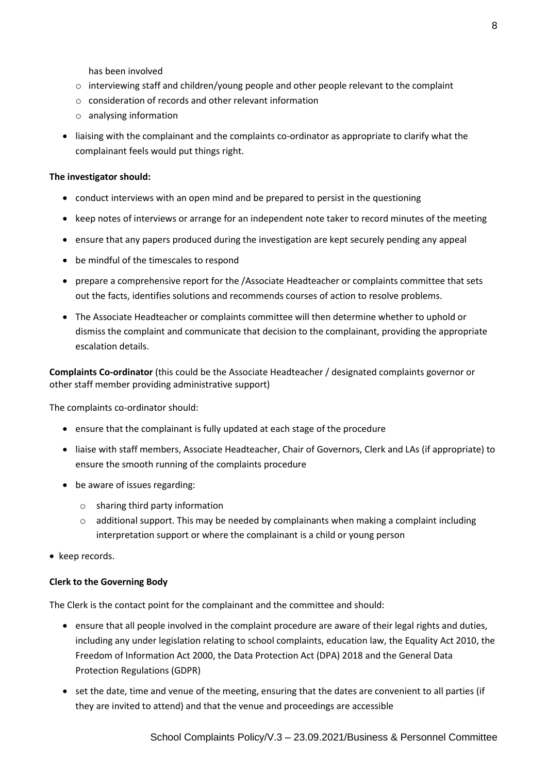has been involved

- $\circ$  interviewing staff and children/young people and other people relevant to the complaint
- $\circ$  consideration of records and other relevant information
- o analysing information
- liaising with the complainant and the complaints co-ordinator as appropriate to clarify what the complainant feels would put things right.

#### **The investigator should:**

- conduct interviews with an open mind and be prepared to persist in the questioning
- keep notes of interviews or arrange for an independent note taker to record minutes of the meeting
- ensure that any papers produced during the investigation are kept securely pending any appeal
- be mindful of the timescales to respond
- prepare a comprehensive report for the /Associate Headteacher or complaints committee that sets out the facts, identifies solutions and recommends courses of action to resolve problems.
- The Associate Headteacher or complaints committee will then determine whether to uphold or dismiss the complaint and communicate that decision to the complainant, providing the appropriate escalation details.

**Complaints Co-ordinator** (this could be the Associate Headteacher / designated complaints governor or other staff member providing administrative support)

The complaints co-ordinator should:

- ensure that the complainant is fully updated at each stage of the procedure
- liaise with staff members, Associate Headteacher, Chair of Governors, Clerk and LAs (if appropriate) to ensure the smooth running of the complaints procedure
- be aware of issues regarding:
	- o sharing third party information
	- o additional support. This may be needed by complainants when making a complaint including interpretation support or where the complainant is a child or young person
- keep records.

#### **Clerk to the Governing Body**

The Clerk is the contact point for the complainant and the committee and should:

- ensure that all people involved in the complaint procedure are aware of their legal rights and duties, including any under legislation relating to school complaints, education law, the Equality Act 2010, the Freedom of Information Act 2000, the Data Protection Act (DPA) 2018 and the General Data Protection Regulations (GDPR)
- set the date, time and venue of the meeting, ensuring that the dates are convenient to all parties (if they are invited to attend) and that the venue and proceedings are accessible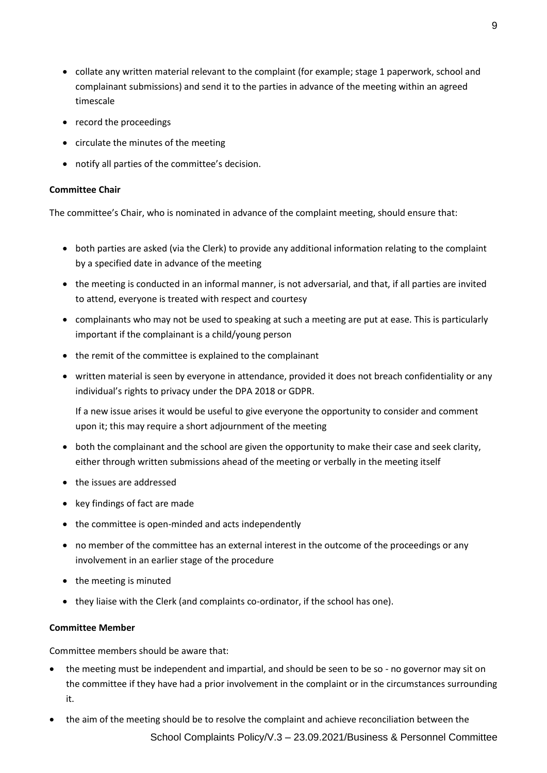- collate any written material relevant to the complaint (for example; stage 1 paperwork, school and complainant submissions) and send it to the parties in advance of the meeting within an agreed timescale
- record the proceedings
- circulate the minutes of the meeting
- notify all parties of the committee's decision.

#### **Committee Chair**

The committee's Chair, who is nominated in advance of the complaint meeting, should ensure that:

- both parties are asked (via the Clerk) to provide any additional information relating to the complaint by a specified date in advance of the meeting
- the meeting is conducted in an informal manner, is not adversarial, and that, if all parties are invited to attend, everyone is treated with respect and courtesy
- complainants who may not be used to speaking at such a meeting are put at ease. This is particularly important if the complainant is a child/young person
- the remit of the committee is explained to the complainant
- written material is seen by everyone in attendance, provided it does not breach confidentiality or any individual's rights to privacy under the DPA 2018 or GDPR.

If a new issue arises it would be useful to give everyone the opportunity to consider and comment upon it; this may require a short adjournment of the meeting

- both the complainant and the school are given the opportunity to make their case and seek clarity, either through written submissions ahead of the meeting or verbally in the meeting itself
- the issues are addressed
- key findings of fact are made
- the committee is open-minded and acts independently
- no member of the committee has an external interest in the outcome of the proceedings or any involvement in an earlier stage of the procedure
- the meeting is minuted
- they liaise with the Clerk (and complaints co-ordinator, if the school has one).

#### **Committee Member**

Committee members should be aware that:

- the meeting must be independent and impartial, and should be seen to be so no governor may sit on the committee if they have had a prior involvement in the complaint or in the circumstances surrounding it.
- the aim of the meeting should be to resolve the complaint and achieve reconciliation between the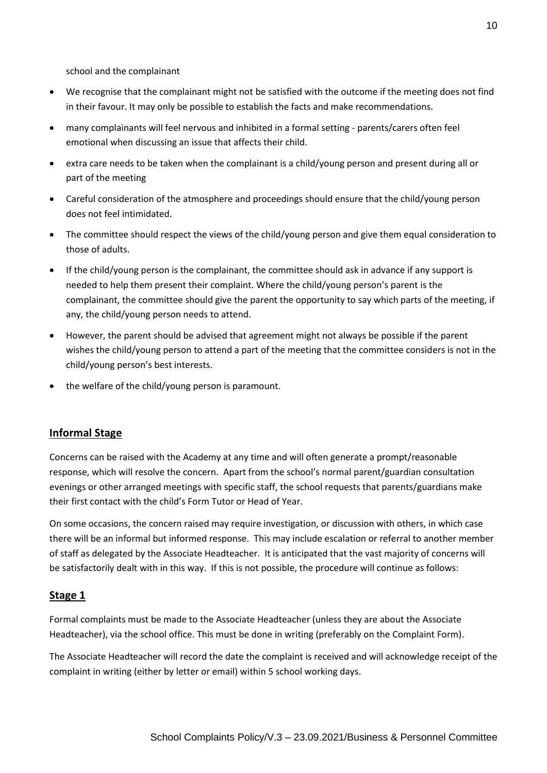school and the complainant

- We recognise that the complainant might not be satisfied with the outcome if the meeting does not find in their favour. It may only be possible to establish the facts and make recommendations.
- many complainants will feel nervous and inhibited in a formal setting parents/carers often feel emotional when discussing an issue that affects their child.
- extra care needs to be taken when the complainant is a child/young person and present during all or part of the meeting
- Careful consideration of the atmosphere and proceedings should ensure that the child/young person does not feel intimidated.
- The committee should respect the views of the child/young person and give them equal consideration to those of adults.
- If the child/young person is the complainant, the committee should ask in advance if any support is needed to help them present their complaint. Where the child/young person's parent is the complainant, the committee should give the parent the opportunity to say which parts of the meeting, if any, the child/young person needs to attend.
- However, the parent should be advised that agreement might not always be possible if the parent wishes the child/young person to attend a part of the meeting that the committee considers is not in the child/young person's best interests.
- the welfare of the child/young person is paramount.

### **Informal Stage**

Concerns can be raised with the Academy at any time and will often generate a prompt/reasonable response, which will resolve the concern. Apart from the school's normal parent/guardian consultation evenings or other arranged meetings with specific staff, the school requests that parents/guardians make their first contact with the child's Form Tutor or Head of Year.

On some occasions, the concern raised may require investigation, or discussion with others, in which case there will be an informal but informed response. This may include escalation or referral to another member of staff as delegated by the Associate Headteacher. It is anticipated that the vast majority of concerns will be satisfactorily dealt with in this way. If this is not possible, the procedure will continue as follows:

### **Stage 1**

Formal complaints must be made to the Associate Headteacher (unless they are about the Associate Headteacher), via the school office. This must be done in writing (preferably on the Complaint Form).

The Associate Headteacher will record the date the complaint is received and will acknowledge receipt of the complaint in writing (either by letter or email) within 5 school working days.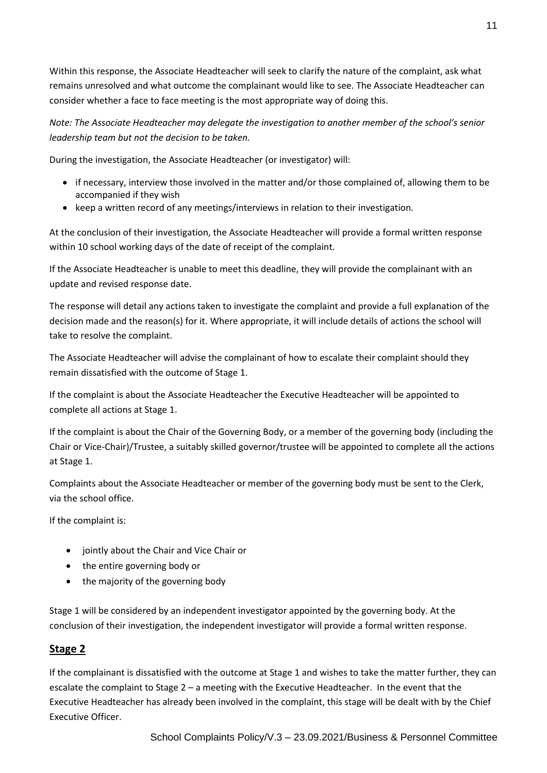Within this response, the Associate Headteacher will seek to clarify the nature of the complaint, ask what remains unresolved and what outcome the complainant would like to see. The Associate Headteacher can consider whether a face to face meeting is the most appropriate way of doing this.

*Note: The Associate Headteacher may delegate the investigation to another member of the school's senior leadership team but not the decision to be taken.*

During the investigation, the Associate Headteacher (or investigator) will:

- if necessary, interview those involved in the matter and/or those complained of, allowing them to be accompanied if they wish
- keep a written record of any meetings/interviews in relation to their investigation.

At the conclusion of their investigation, the Associate Headteacher will provide a formal written response within 10 school working days of the date of receipt of the complaint.

If the Associate Headteacher is unable to meet this deadline, they will provide the complainant with an update and revised response date.

The response will detail any actions taken to investigate the complaint and provide a full explanation of the decision made and the reason(s) for it. Where appropriate, it will include details of actions the school will take to resolve the complaint.

The Associate Headteacher will advise the complainant of how to escalate their complaint should they remain dissatisfied with the outcome of Stage 1.

If the complaint is about the Associate Headteacher the Executive Headteacher will be appointed to complete all actions at Stage 1.

If the complaint is about the Chair of the Governing Body, or a member of the governing body (including the Chair or Vice-Chair)/Trustee, a suitably skilled governor/trustee will be appointed to complete all the actions at Stage 1.

Complaints about the Associate Headteacher or member of the governing body must be sent to the Clerk, via the school office.

If the complaint is:

- jointly about the Chair and Vice Chair or
- the entire governing body or
- the majority of the governing body

Stage 1 will be considered by an independent investigator appointed by the governing body. At the conclusion of their investigation, the independent investigator will provide a formal written response.

# **Stage 2**

If the complainant is dissatisfied with the outcome at Stage 1 and wishes to take the matter further, they can escalate the complaint to Stage 2 – a meeting with the Executive Headteacher. In the event that the Executive Headteacher has already been involved in the complaint, this stage will be dealt with by the Chief Executive Officer.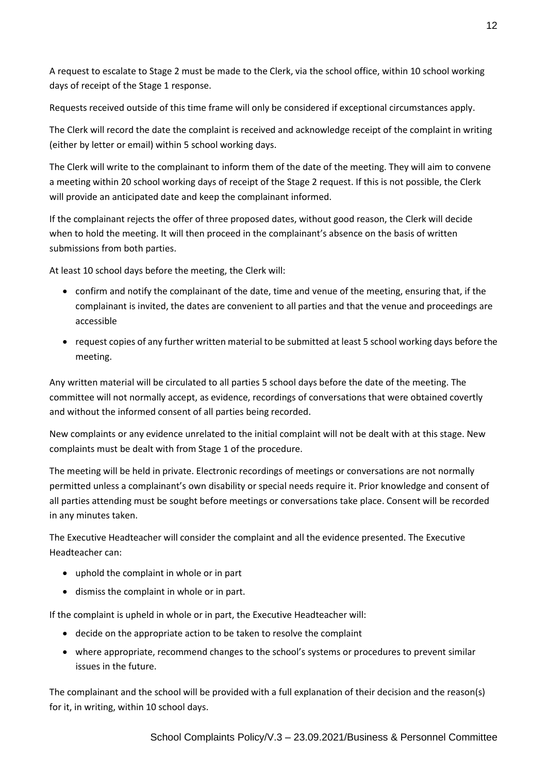A request to escalate to Stage 2 must be made to the Clerk, via the school office, within 10 school working days of receipt of the Stage 1 response.

Requests received outside of this time frame will only be considered if exceptional circumstances apply.

The Clerk will record the date the complaint is received and acknowledge receipt of the complaint in writing (either by letter or email) within 5 school working days.

The Clerk will write to the complainant to inform them of the date of the meeting. They will aim to convene a meeting within 20 school working days of receipt of the Stage 2 request. If this is not possible, the Clerk will provide an anticipated date and keep the complainant informed.

If the complainant rejects the offer of three proposed dates, without good reason, the Clerk will decide when to hold the meeting. It will then proceed in the complainant's absence on the basis of written submissions from both parties.

At least 10 school days before the meeting, the Clerk will:

- confirm and notify the complainant of the date, time and venue of the meeting, ensuring that, if the complainant is invited, the dates are convenient to all parties and that the venue and proceedings are accessible
- request copies of any further written material to be submitted at least 5 school working days before the meeting.

Any written material will be circulated to all parties 5 school days before the date of the meeting. The committee will not normally accept, as evidence, recordings of conversations that were obtained covertly and without the informed consent of all parties being recorded.

New complaints or any evidence unrelated to the initial complaint will not be dealt with at this stage. New complaints must be dealt with from Stage 1 of the procedure.

The meeting will be held in private. Electronic recordings of meetings or conversations are not normally permitted unless a complainant's own disability or special needs require it. Prior knowledge and consent of all parties attending must be sought before meetings or conversations take place. Consent will be recorded in any minutes taken.

The Executive Headteacher will consider the complaint and all the evidence presented. The Executive Headteacher can:

- uphold the complaint in whole or in part
- dismiss the complaint in whole or in part.

If the complaint is upheld in whole or in part, the Executive Headteacher will:

- decide on the appropriate action to be taken to resolve the complaint
- where appropriate, recommend changes to the school's systems or procedures to prevent similar issues in the future.

The complainant and the school will be provided with a full explanation of their decision and the reason(s) for it, in writing, within 10 school days.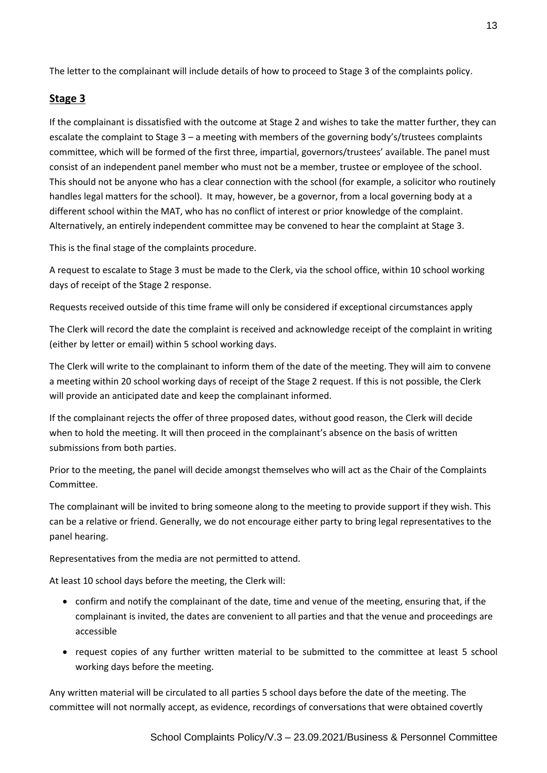The letter to the complainant will include details of how to proceed to Stage 3 of the complaints policy.

# **Stage 3**

If the complainant is dissatisfied with the outcome at Stage 2 and wishes to take the matter further, they can escalate the complaint to Stage 3 – a meeting with members of the governing body's/trustees complaints committee, which will be formed of the first three, impartial, governors/trustees' available. The panel must consist of an independent panel member who must not be a member, trustee or employee of the school. This should not be anyone who has a clear connection with the school (for example, a solicitor who routinely handles legal matters for the school). It may, however, be a governor, from a local governing body at a different school within the MAT, who has no conflict of interest or prior knowledge of the complaint. Alternatively, an entirely independent committee may be convened to hear the complaint at Stage 3.

This is the final stage of the complaints procedure.

A request to escalate to Stage 3 must be made to the Clerk, via the school office, within 10 school working days of receipt of the Stage 2 response.

Requests received outside of this time frame will only be considered if exceptional circumstances apply

The Clerk will record the date the complaint is received and acknowledge receipt of the complaint in writing (either by letter or email) within 5 school working days.

The Clerk will write to the complainant to inform them of the date of the meeting. They will aim to convene a meeting within 20 school working days of receipt of the Stage 2 request. If this is not possible, the Clerk will provide an anticipated date and keep the complainant informed.

If the complainant rejects the offer of three proposed dates, without good reason, the Clerk will decide when to hold the meeting. It will then proceed in the complainant's absence on the basis of written submissions from both parties.

Prior to the meeting, the panel will decide amongst themselves who will act as the Chair of the Complaints Committee.

The complainant will be invited to bring someone along to the meeting to provide support if they wish. This can be a relative or friend. Generally, we do not encourage either party to bring legal representatives to the panel hearing.

Representatives from the media are not permitted to attend.

At least 10 school days before the meeting, the Clerk will:

- confirm and notify the complainant of the date, time and venue of the meeting, ensuring that, if the complainant is invited, the dates are convenient to all parties and that the venue and proceedings are accessible
- request copies of any further written material to be submitted to the committee at least 5 school working days before the meeting.

Any written material will be circulated to all parties 5 school days before the date of the meeting. The committee will not normally accept, as evidence, recordings of conversations that were obtained covertly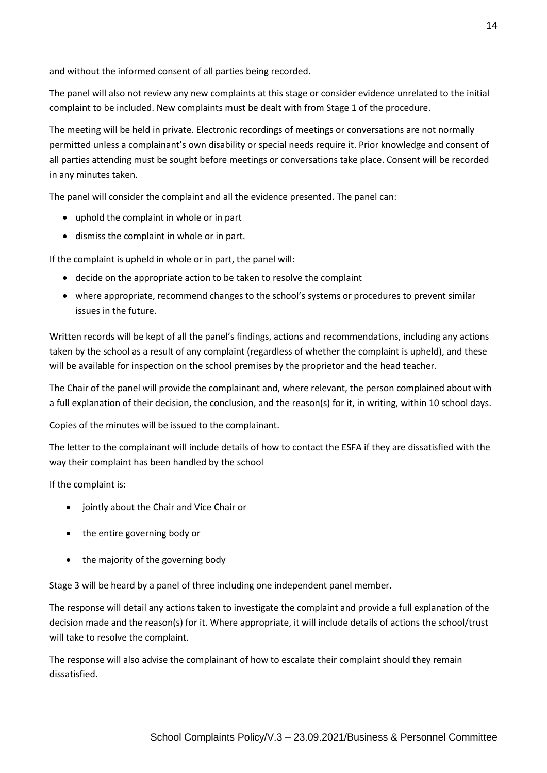and without the informed consent of all parties being recorded.

The panel will also not review any new complaints at this stage or consider evidence unrelated to the initial complaint to be included. New complaints must be dealt with from Stage 1 of the procedure.

The meeting will be held in private. Electronic recordings of meetings or conversations are not normally permitted unless a complainant's own disability or special needs require it. Prior knowledge and consent of all parties attending must be sought before meetings or conversations take place. Consent will be recorded in any minutes taken.

The panel will consider the complaint and all the evidence presented. The panel can:

- uphold the complaint in whole or in part
- dismiss the complaint in whole or in part.

If the complaint is upheld in whole or in part, the panel will:

- decide on the appropriate action to be taken to resolve the complaint
- where appropriate, recommend changes to the school's systems or procedures to prevent similar issues in the future.

Written records will be kept of all the panel's findings, actions and recommendations, including any actions taken by the school as a result of any complaint (regardless of whether the complaint is upheld), and these will be available for inspection on the school premises by the proprietor and the head teacher.

The Chair of the panel will provide the complainant and, where relevant, the person complained about with a full explanation of their decision, the conclusion, and the reason(s) for it, in writing, within 10 school days.

Copies of the minutes will be issued to the complainant.

The letter to the complainant will include details of how to contact the ESFA if they are dissatisfied with the way their complaint has been handled by the school

If the complaint is:

- jointly about the Chair and Vice Chair or
- the entire governing body or
- the majority of the governing body

Stage 3 will be heard by a panel of three including one independent panel member.

The response will detail any actions taken to investigate the complaint and provide a full explanation of the decision made and the reason(s) for it. Where appropriate, it will include details of actions the school/trust will take to resolve the complaint.

The response will also advise the complainant of how to escalate their complaint should they remain dissatisfied.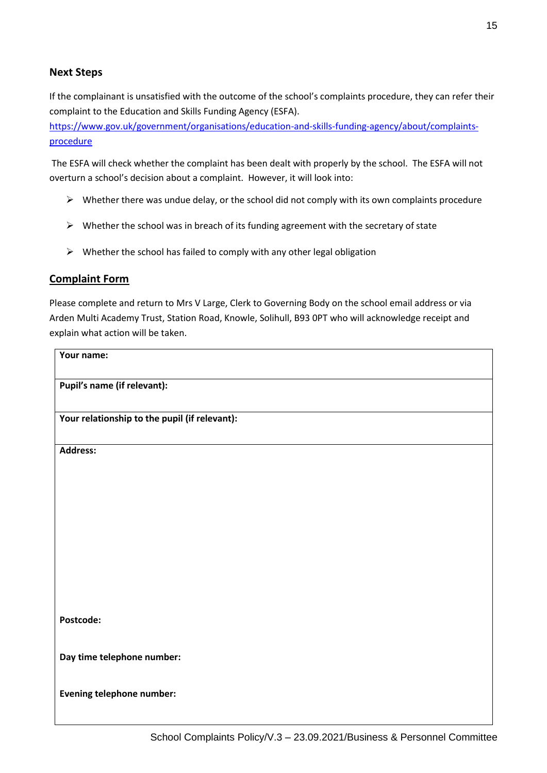# **Next Steps**

If the complainant is unsatisfied with the outcome of the school's complaints procedure, they can refer their complaint to the Education and Skills Funding Agency (ESFA).

[https://www.gov.uk/government/organisations/education-and-skills-funding-agency/about/complaints](https://www.gov.uk/government/organisations/education-and-skills-funding-agency/about/complaints-procedure)[procedure](https://www.gov.uk/government/organisations/education-and-skills-funding-agency/about/complaints-procedure)

The ESFA will check whether the complaint has been dealt with properly by the school. The ESFA will not overturn a school's decision about a complaint. However, it will look into:

- $\triangleright$  Whether there was undue delay, or the school did not comply with its own complaints procedure
- $\triangleright$  Whether the school was in breach of its funding agreement with the secretary of state
- $\triangleright$  Whether the school has failed to comply with any other legal obligation

# **Complaint Form**

Please complete and return to Mrs V Large, Clerk to Governing Body on the school email address or via Arden Multi Academy Trust, Station Road, Knowle, Solihull, B93 0PT who will acknowledge receipt and explain what action will be taken.

| Your name:                                    |  |  |
|-----------------------------------------------|--|--|
| Pupil's name (if relevant):                   |  |  |
| Your relationship to the pupil (if relevant): |  |  |
| <b>Address:</b>                               |  |  |
|                                               |  |  |
|                                               |  |  |
|                                               |  |  |
|                                               |  |  |
|                                               |  |  |
| Postcode:                                     |  |  |
| Day time telephone number:                    |  |  |
| <b>Evening telephone number:</b>              |  |  |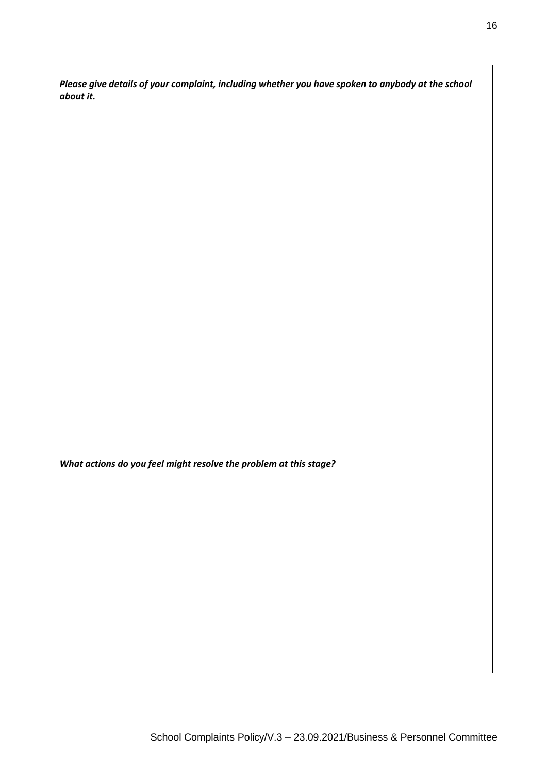*Please give details of your complaint, including whether you have spoken to anybody at the school about it.*

*What actions do you feel might resolve the problem at this stage?*